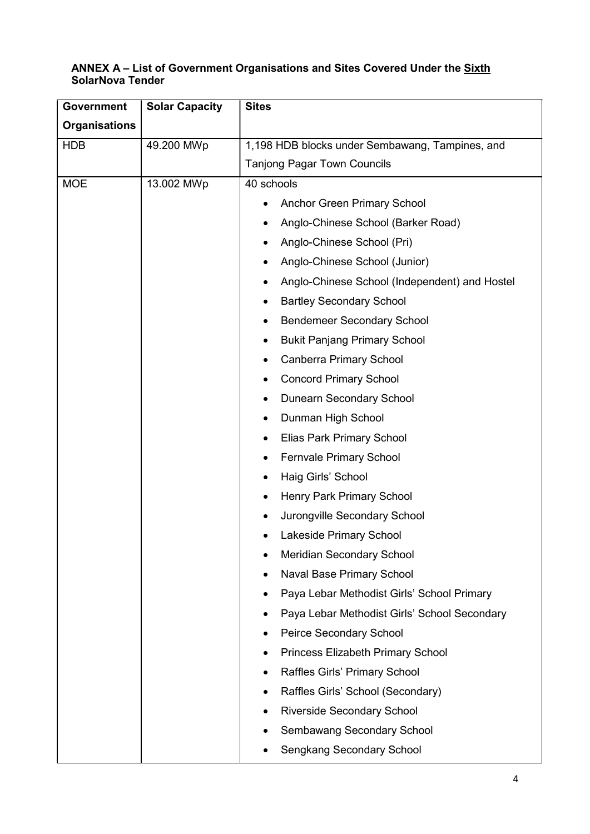## ANNEX A – List of Government Organisations and Sites Covered Under the Sixth SolarNova Tender

| <b>Government</b>    | <b>Solar Capacity</b> | <b>Sites</b>                                    |
|----------------------|-----------------------|-------------------------------------------------|
| <b>Organisations</b> |                       |                                                 |
| <b>HDB</b>           | 49.200 MWp            | 1,198 HDB blocks under Sembawang, Tampines, and |
|                      |                       | <b>Tanjong Pagar Town Councils</b>              |
| <b>MOE</b>           | 13.002 MWp            | 40 schools                                      |
|                      |                       | <b>Anchor Green Primary School</b><br>٠         |
|                      |                       | Anglo-Chinese School (Barker Road)              |
|                      |                       | Anglo-Chinese School (Pri)<br>٠                 |
|                      |                       | Anglo-Chinese School (Junior)<br>٠              |
|                      |                       | Anglo-Chinese School (Independent) and Hostel   |
|                      |                       | <b>Bartley Secondary School</b>                 |
|                      |                       | <b>Bendemeer Secondary School</b><br>٠          |
|                      |                       | <b>Bukit Panjang Primary School</b><br>٠        |
|                      |                       | <b>Canberra Primary School</b>                  |
|                      |                       | <b>Concord Primary School</b><br>٠              |
|                      |                       | <b>Dunearn Secondary School</b><br>٠            |
|                      |                       | Dunman High School                              |
|                      |                       | Elias Park Primary School<br>٠                  |
|                      |                       | <b>Fernvale Primary School</b><br>٠             |
|                      |                       | Haig Girls' School<br>٠                         |
|                      |                       | Henry Park Primary School                       |
|                      |                       | Jurongville Secondary School                    |
|                      |                       | Lakeside Primary School                         |
|                      |                       | Meridian Secondary School                       |
|                      |                       | <b>Naval Base Primary School</b>                |
|                      |                       | Paya Lebar Methodist Girls' School Primary      |
|                      |                       | Paya Lebar Methodist Girls' School Secondary    |
|                      |                       | <b>Peirce Secondary School</b>                  |
|                      |                       | Princess Elizabeth Primary School               |
|                      |                       | Raffles Girls' Primary School                   |
|                      |                       | Raffles Girls' School (Secondary)               |
|                      |                       | <b>Riverside Secondary School</b>               |
|                      |                       | Sembawang Secondary School                      |
|                      |                       | Sengkang Secondary School                       |